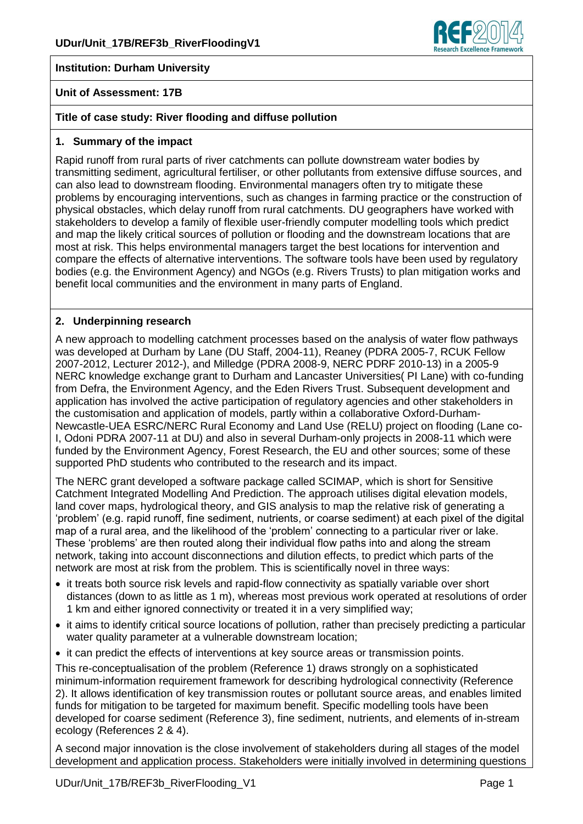

### **Institution: Durham University**

#### **Unit of Assessment: 17B**

### **Title of case study: River flooding and diffuse pollution**

#### **1. Summary of the impact**

Rapid runoff from rural parts of river catchments can pollute downstream water bodies by transmitting sediment, agricultural fertiliser, or other pollutants from extensive diffuse sources, and can also lead to downstream flooding. Environmental managers often try to mitigate these problems by encouraging interventions, such as changes in farming practice or the construction of physical obstacles, which delay runoff from rural catchments. DU geographers have worked with stakeholders to develop a family of flexible user-friendly computer modelling tools which predict and map the likely critical sources of pollution or flooding and the downstream locations that are most at risk. This helps environmental managers target the best locations for intervention and compare the effects of alternative interventions. The software tools have been used by regulatory bodies (e.g. the Environment Agency) and NGOs (e.g. Rivers Trusts) to plan mitigation works and benefit local communities and the environment in many parts of England.

### **2. Underpinning research**

A new approach to modelling catchment processes based on the analysis of water flow pathways was developed at Durham by Lane (DU Staff, 2004-11), Reaney (PDRA 2005-7, RCUK Fellow 2007-2012, Lecturer 2012-), and Milledge (PDRA 2008-9, NERC PDRF 2010-13) in a 2005-9 NERC knowledge exchange grant to Durham and Lancaster Universities( PI Lane) with co-funding from Defra, the Environment Agency, and the Eden Rivers Trust. Subsequent development and application has involved the active participation of regulatory agencies and other stakeholders in the customisation and application of models, partly within a collaborative Oxford-Durham-Newcastle-UEA ESRC/NERC Rural Economy and Land Use (RELU) project on flooding (Lane co-I, Odoni PDRA 2007-11 at DU) and also in several Durham-only projects in 2008-11 which were funded by the Environment Agency, Forest Research, the EU and other sources; some of these supported PhD students who contributed to the research and its impact.

The NERC grant developed a software package called SCIMAP, which is short for Sensitive Catchment Integrated Modelling And Prediction. The approach utilises digital elevation models, land cover maps, hydrological theory, and GIS analysis to map the relative risk of generating a 'problem' (e.g. rapid runoff, fine sediment, nutrients, or coarse sediment) at each pixel of the digital map of a rural area, and the likelihood of the 'problem' connecting to a particular river or lake. These 'problems' are then routed along their individual flow paths into and along the stream network, taking into account disconnections and dilution effects, to predict which parts of the network are most at risk from the problem. This is scientifically novel in three ways:

- it treats both source risk levels and rapid-flow connectivity as spatially variable over short distances (down to as little as 1 m), whereas most previous work operated at resolutions of order 1 km and either ignored connectivity or treated it in a very simplified way;
- it aims to identify critical source locations of pollution, rather than precisely predicting a particular water quality parameter at a vulnerable downstream location;
- it can predict the effects of interventions at key source areas or transmission points.

This re-conceptualisation of the problem (Reference 1) draws strongly on a sophisticated minimum-information requirement framework for describing hydrological connectivity (Reference 2). It allows identification of key transmission routes or pollutant source areas, and enables limited funds for mitigation to be targeted for maximum benefit. Specific modelling tools have been developed for coarse sediment (Reference 3), fine sediment, nutrients, and elements of in-stream ecology (References 2 & 4).

A second major innovation is the close involvement of stakeholders during all stages of the model development and application process. Stakeholders were initially involved in determining questions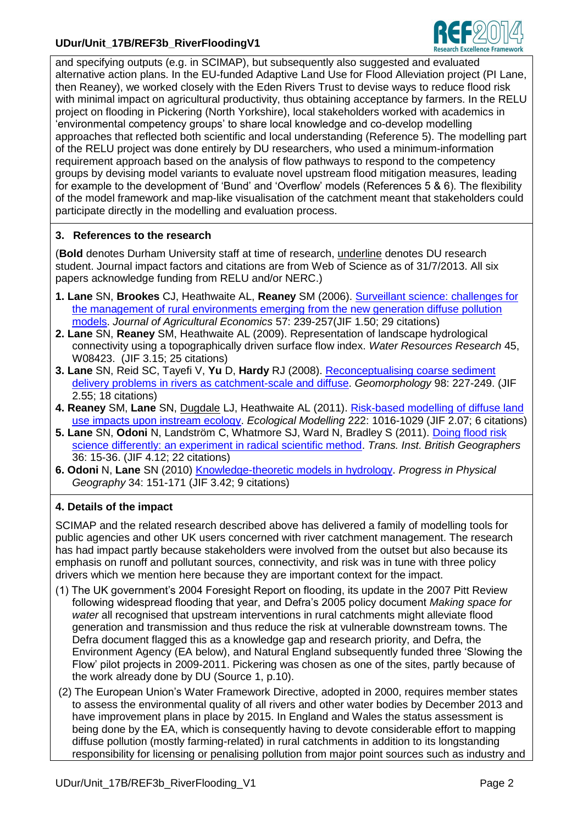# **UDur/Unit\_17B/REF3b\_RiverFloodingV1**



and specifying outputs (e.g. in SCIMAP), but subsequently also suggested and evaluated alternative action plans. In the EU-funded Adaptive Land Use for Flood Alleviation project (PI Lane, then Reaney), we worked closely with the Eden Rivers Trust to devise ways to reduce flood risk with minimal impact on agricultural productivity, thus obtaining acceptance by farmers. In the RELU project on flooding in Pickering (North Yorkshire), local stakeholders worked with academics in 'environmental competency groups' to share local knowledge and co-develop modelling approaches that reflected both scientific and local understanding (Reference 5). The modelling part of the RELU project was done entirely by DU researchers, who used a minimum-information requirement approach based on the analysis of flow pathways to respond to the competency groups by devising model variants to evaluate novel upstream flood mitigation measures, leading for example to the development of 'Bund' and 'Overflow' models (References 5 & 6). The flexibility of the model framework and map-like visualisation of the catchment meant that stakeholders could participate directly in the modelling and evaluation process.

## **3. References to the research**

(**Bold** denotes Durham University staff at time of research, underline denotes DU research student. Journal impact factors and citations are from Web of Science as of 31/7/2013. All six papers acknowledge funding from RELU and/or NERC.)

- **1. Lane** SN, **Brookes** CJ, Heathwaite AL, **Reaney** SM (2006). [Surveillant science: challenges for](http://dx.doi.org/10.1111/j.1477-9552.2006.00050.x)  [the management of rural environments emerging from the new generation diffuse pollution](http://dx.doi.org/10.1111/j.1477-9552.2006.00050.x)  [models.](http://dx.doi.org/10.1111/j.1477-9552.2006.00050.x) *Journal of Agricultural Economics* 57: 239-257(JIF 1.50; 29 citations)
- **2. Lane** SN, **Reaney** SM, Heathwaite AL (2009). Representation of landscape hydrological connectivity using a topographically driven surface flow index. *Water Resources Research* 45, W08423. (JIF 3.15; 25 citations)
- **3. Lane** SN, Reid SC, Tayefi V, **Yu** D, **Hardy** RJ (2008). [Reconceptualising coarse sediment](http://dx.doi.org/10.1029/2008WR007336)  [delivery problems in rivers as catchment-scale and diffuse.](http://dx.doi.org/10.1029/2008WR007336) *Geomorphology* 98: 227-249. (JIF 2.55; 18 citations)
- **4. Reaney** SM, **Lane** SN, Dugdale LJ, Heathwaite AL (2011). [Risk-based modelling of diffuse land](http://dx.doi.org/10.1016/j.ecolmodel.2010.08.022)  [use impacts upon instream ecology.](http://dx.doi.org/10.1016/j.ecolmodel.2010.08.022) *Ecological Modelling* 222: 1016-1029 (JIF 2.07; 6 citations)
- **5. Lane** SN, **Odoni** N, Landström C, Whatmore SJ, Ward N, Bradley S (2011). [Doing flood risk](http://dx.doi.org/10.1111/j.1475-5661.2010.00410.x)  [science differently: an experiment in radical scientific method.](http://dx.doi.org/10.1111/j.1475-5661.2010.00410.x) *Trans. Inst. British Geographers* 36: 15-36. (JIF 4.12; 22 citations)
- **6. Odoni** N, **Lane** SN (2010) [Knowledge-theoretic models in hydrology.](http://dx.doi.org/10.1177/0309133309359893) *Progress in Physical Geography* 34: 151-171 (JIF 3.42; 9 citations)

### **4. Details of the impact**

SCIMAP and the related research described above has delivered a family of modelling tools for public agencies and other UK users concerned with river catchment management. The research has had impact partly because stakeholders were involved from the outset but also because its emphasis on runoff and pollutant sources, connectivity, and risk was in tune with three policy drivers which we mention here because they are important context for the impact.

- (1) The UK government's 2004 Foresight Report on flooding, its update in the 2007 Pitt Review following widespread flooding that year, and Defra's 2005 policy document *Making space for water* all recognised that upstream interventions in rural catchments might alleviate flood generation and transmission and thus reduce the risk at vulnerable downstream towns. The Defra document flagged this as a knowledge gap and research priority, and Defra, the Environment Agency (EA below), and Natural England subsequently funded three 'Slowing the Flow' pilot projects in 2009-2011. Pickering was chosen as one of the sites, partly because of the work already done by DU (Source 1, p.10).
- (2) The European Union's Water Framework Directive, adopted in 2000, requires member states to assess the environmental quality of all rivers and other water bodies by December 2013 and have improvement plans in place by 2015. In England and Wales the status assessment is being done by the EA, which is consequently having to devote considerable effort to mapping diffuse pollution (mostly farming-related) in rural catchments in addition to its longstanding responsibility for licensing or penalising pollution from major point sources such as industry and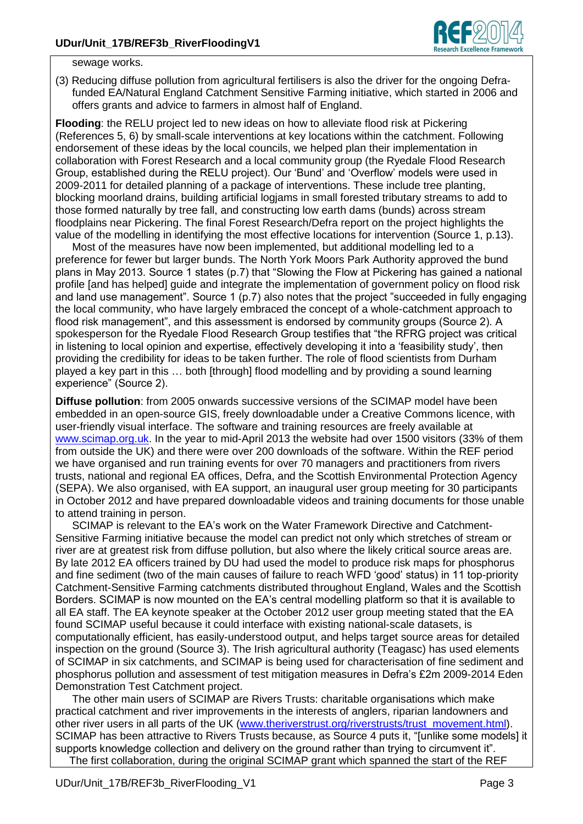

sewage works.

(3) Reducing diffuse pollution from agricultural fertilisers is also the driver for the ongoing Defrafunded EA/Natural England Catchment Sensitive Farming initiative, which started in 2006 and offers grants and advice to farmers in almost half of England.

**Flooding**: the RELU project led to new ideas on how to alleviate flood risk at Pickering (References 5, 6) by small-scale interventions at key locations within the catchment. Following endorsement of these ideas by the local councils, we helped plan their implementation in collaboration with Forest Research and a local community group (the Ryedale Flood Research Group, established during the RELU project). Our 'Bund' and 'Overflow' models were used in 2009-2011 for detailed planning of a package of interventions. These include tree planting, blocking moorland drains, building artificial logjams in small forested tributary streams to add to those formed naturally by tree fall, and constructing low earth dams (bunds) across stream floodplains near Pickering. The final Forest Research/Defra report on the project highlights the value of the modelling in identifying the most effective locations for intervention (Source 1, p.13).

Most of the measures have now been implemented, but additional modelling led to a preference for fewer but larger bunds. The North York Moors Park Authority approved the bund plans in May 2013. Source 1 states (p.7) that "Slowing the Flow at Pickering has gained a national profile [and has helped] guide and integrate the implementation of government policy on flood risk and land use management". Source 1 (p.7) also notes that the project "succeeded in fully engaging the local community, who have largely embraced the concept of a whole-catchment approach to flood risk management", and this assessment is endorsed by community groups (Source 2). A spokesperson for the Ryedale Flood Research Group testifies that "the RFRG project was critical in listening to local opinion and expertise, effectively developing it into a 'feasibility study', then providing the credibility for ideas to be taken further. The role of flood scientists from Durham played a key part in this … both [through] flood modelling and by providing a sound learning experience" (Source 2).

**Diffuse pollution**: from 2005 onwards successive versions of the SCIMAP model have been embedded in an open-source GIS, freely downloadable under a Creative Commons licence, with user-friendly visual interface. The software and training resources are freely available at [www.scimap.org.uk.](http://www.scimap.org.uk/) In the year to mid-April 2013 the website had over 1500 visitors (33% of them from outside the UK) and there were over 200 downloads of the software. Within the REF period we have organised and run training events for over 70 managers and practitioners from rivers trusts, national and regional EA offices, Defra, and the Scottish Environmental Protection Agency (SEPA). We also organised, with EA support, an inaugural user group meeting for 30 participants in October 2012 and have prepared downloadable videos and training documents for those unable to attend training in person.

SCIMAP is relevant to the EA's work on the Water Framework Directive and Catchment-Sensitive Farming initiative because the model can predict not only which stretches of stream or river are at greatest risk from diffuse pollution, but also where the likely critical source areas are. By late 2012 EA officers trained by DU had used the model to produce risk maps for phosphorus and fine sediment (two of the main causes of failure to reach WFD 'good' status) in 11 top-priority Catchment-Sensitive Farming catchments distributed throughout England, Wales and the Scottish Borders. SCIMAP is now mounted on the EA's central modelling platform so that it is available to all EA staff. The EA keynote speaker at the October 2012 user group meeting stated that the EA found SCIMAP useful because it could interface with existing national-scale datasets, is computationally efficient, has easily-understood output, and helps target source areas for detailed inspection on the ground (Source 3). The Irish agricultural authority (Teagasc) has used elements of SCIMAP in six catchments, and SCIMAP is being used for characterisation of fine sediment and phosphorus pollution and assessment of test mitigation measures in Defra's £2m 2009-2014 Eden Demonstration Test Catchment project.

The other main users of SCIMAP are Rivers Trusts: charitable organisations which make practical catchment and river improvements in the interests of anglers, riparian landowners and other river users in all parts of the UK [\(www.theriverstrust.org/riverstrusts/trust\\_movement.html\)](http://www.theriverstrust.org/riverstrusts/trust_movement.html). SCIMAP has been attractive to Rivers Trusts because, as Source 4 puts it, "[unlike some models] it supports knowledge collection and delivery on the ground rather than trying to circumvent it". The first collaboration, during the original SCIMAP grant which spanned the start of the REF